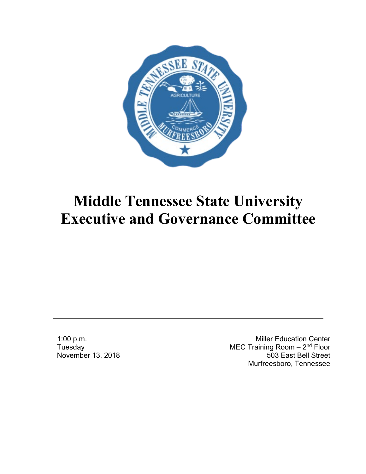

# **Middle Tennessee State University Executive and Governance Committee**

1:00 p.m. **Tuesday** November 13, 2018

Miller Education Center MEC Training Room - 2<sup>nd</sup> Floor 503 East Bell Street Murfreesboro, Tennessee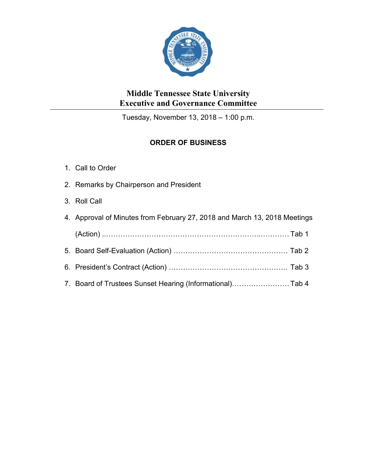

## **Middle Tennessee State University Executive and Governance Committee**

Tuesday, November 13, 2018 – 1:00 p.m.

### **ORDER OF BUSINESS**

| 1. Call to Order                                                          |
|---------------------------------------------------------------------------|
| 2. Remarks by Chairperson and President                                   |
| 3. Roll Call                                                              |
| 4. Approval of Minutes from February 27, 2018 and March 13, 2018 Meetings |
|                                                                           |
|                                                                           |
|                                                                           |
| 7. Board of Trustees Sunset Hearing (Informational)Tab 4                  |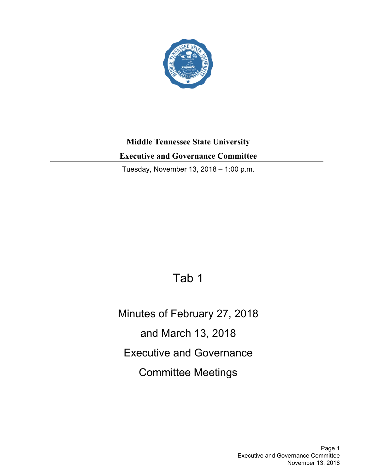

## **Middle Tennessee State University**

### **Executive and Governance Committee**

Tuesday, November 13, 2018 – 1:00 p.m.

## Tab 1

Minutes of February 27, 2018 and March 13, 2018 Executive and Governance Committee Meetings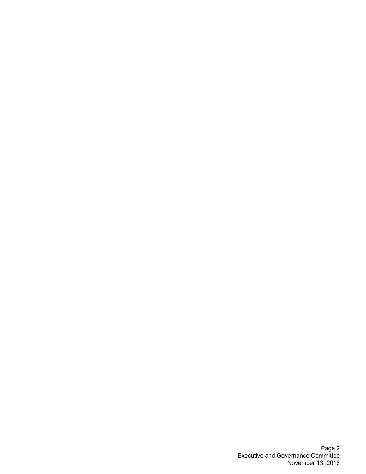Page 2 Executive and Governance Committee November 13, 2018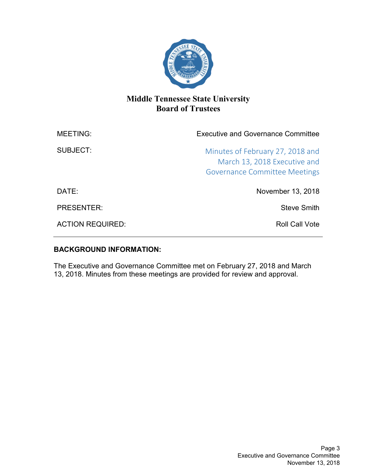

## **Middle Tennessee State University Board of Trustees**

| <b>MEETING:</b>         | <b>Executive and Governance Committee</b>                                                                |
|-------------------------|----------------------------------------------------------------------------------------------------------|
| SUBJECT:                | Minutes of February 27, 2018 and<br>March 13, 2018 Executive and<br><b>Governance Committee Meetings</b> |
| DATE:                   | November 13, 2018                                                                                        |
| <b>PRESENTER:</b>       | Steve Smith                                                                                              |
| <b>ACTION REQUIRED:</b> | Roll Call Vote                                                                                           |

#### **BACKGROUND INFORMATION:**

The Executive and Governance Committee met on February 27, 2018 and March 13, 2018. Minutes from these meetings are provided for review and approval.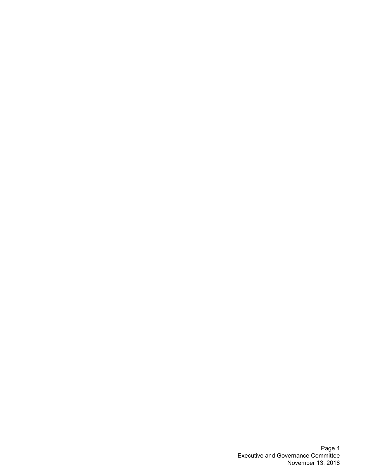Page 4 Executive and Governance Committee November 13, 2018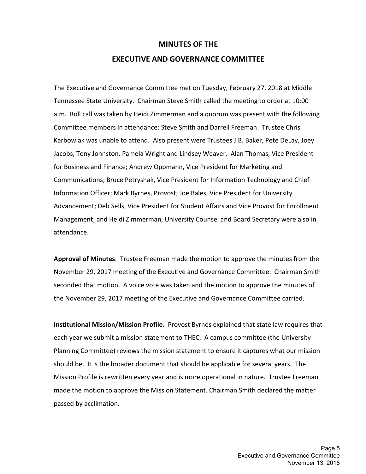#### **MINUTES OF THE**

#### **EXECUTIVE AND GOVERNANCE COMMITTEE**

The Executive and Governance Committee met on Tuesday, February 27, 2018 at Middle Tennessee State University. Chairman Steve Smith called the meeting to order at 10:00 a.m. Roll call was taken by Heidi Zimmerman and a quorum was present with the following Committee members in attendance: Steve Smith and Darrell Freeman. Trustee Chris Karbowiak was unable to attend. Also present were Trustees J.B. Baker, Pete DeLay, Joey Jacobs, Tony Johnston, Pamela Wright and Lindsey Weaver. Alan Thomas, Vice President for Business and Finance; Andrew Oppmann, Vice President for Marketing and Communications; Bruce Petryshak, Vice President for Information Technology and Chief Information Officer; Mark Byrnes, Provost; Joe Bales, Vice President for University Advancement; Deb Sells, Vice President for Student Affairs and Vice Provost for Enrollment Management; and Heidi Zimmerman, University Counsel and Board Secretary were also in attendance.

**Approval of Minutes**. Trustee Freeman made the motion to approve the minutes from the November 29, 2017 meeting of the Executive and Governance Committee. Chairman Smith seconded that motion. A voice vote was taken and the motion to approve the minutes of the November 29, 2017 meeting of the Executive and Governance Committee carried.

**Institutional Mission/Mission Profile.** Provost Byrnes explained that state law requires that each year we submit a mission statement to THEC. A campus committee (the University Planning Committee) reviews the mission statement to ensure it captures what our mission should be. It is the broader document that should be applicable for several years. The Mission Profile is rewritten every year and is more operational in nature. Trustee Freeman made the motion to approve the Mission Statement. Chairman Smith declared the matter passed by acclimation.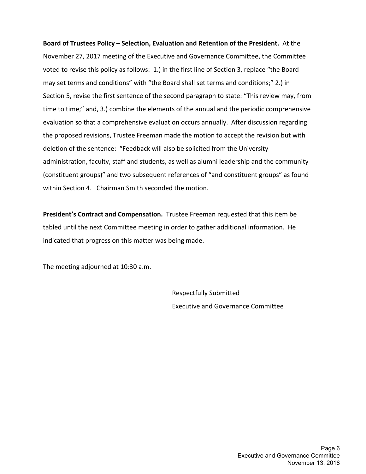**Board of Trustees Policy – Selection, Evaluation and Retention of the President.** At the November 27, 2017 meeting of the Executive and Governance Committee, the Committee voted to revise this policy as follows: 1.) in the first line of Section 3, replace "the Board may set terms and conditions" with "the Board shall set terms and conditions;" 2.) in Section 5, revise the first sentence of the second paragraph to state: "This review may, from time to time;" and, 3.) combine the elements of the annual and the periodic comprehensive evaluation so that a comprehensive evaluation occurs annually. After discussion regarding the proposed revisions, Trustee Freeman made the motion to accept the revision but with deletion of the sentence: "Feedback will also be solicited from the University administration, faculty, staff and students, as well as alumni leadership and the community (constituent groups)" and two subsequent references of "and constituent groups" as found within Section 4. Chairman Smith seconded the motion.

**President's Contract and Compensation.** Trustee Freeman requested that this item be tabled until the next Committee meeting in order to gather additional information. He indicated that progress on this matter was being made.

The meeting adjourned at 10:30 a.m.

 Respectfully Submitted Executive and Governance Committee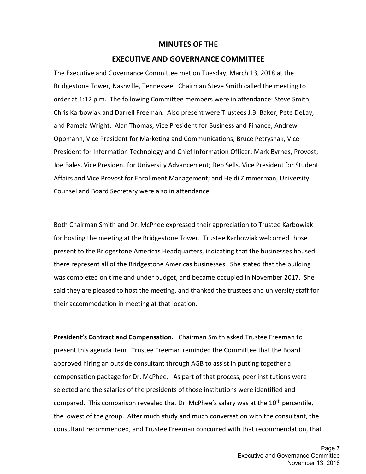#### **MINUTES OF THE**

#### **EXECUTIVE AND GOVERNANCE COMMITTEE**

The Executive and Governance Committee met on Tuesday, March 13, 2018 at the Bridgestone Tower, Nashville, Tennessee. Chairman Steve Smith called the meeting to order at 1:12 p.m. The following Committee members were in attendance: Steve Smith, Chris Karbowiak and Darrell Freeman. Also present were Trustees J.B. Baker, Pete DeLay, and Pamela Wright. Alan Thomas, Vice President for Business and Finance; Andrew Oppmann, Vice President for Marketing and Communications; Bruce Petryshak, Vice President for Information Technology and Chief Information Officer; Mark Byrnes, Provost; Joe Bales, Vice President for University Advancement; Deb Sells, Vice President for Student Affairs and Vice Provost for Enrollment Management; and Heidi Zimmerman, University Counsel and Board Secretary were also in attendance.

Both Chairman Smith and Dr. McPhee expressed their appreciation to Trustee Karbowiak for hosting the meeting at the Bridgestone Tower. Trustee Karbowiak welcomed those present to the Bridgestone Americas Headquarters, indicating that the businesses housed there represent all of the Bridgestone Americas businesses. She stated that the building was completed on time and under budget, and became occupied in November 2017. She said they are pleased to host the meeting, and thanked the trustees and university staff for their accommodation in meeting at that location.

**President's Contract and Compensation.** Chairman Smith asked Trustee Freeman to present this agenda item. Trustee Freeman reminded the Committee that the Board approved hiring an outside consultant through AGB to assist in putting together a compensation package for Dr. McPhee. As part of that process, peer institutions were selected and the salaries of the presidents of those institutions were identified and compared. This comparison revealed that Dr. McPhee's salary was at the  $10^{th}$  percentile, the lowest of the group. After much study and much conversation with the consultant, the consultant recommended, and Trustee Freeman concurred with that recommendation, that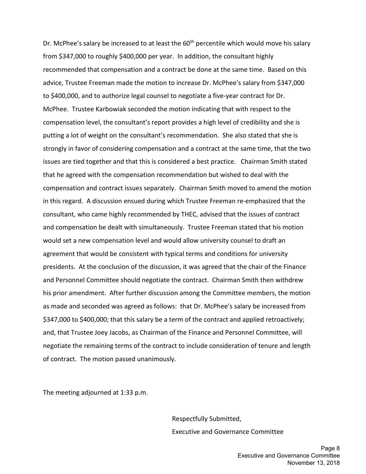Dr. McPhee's salary be increased to at least the 60<sup>th</sup> percentile which would move his salary from \$347,000 to roughly \$400,000 per year. In addition, the consultant highly recommended that compensation and a contract be done at the same time. Based on this advice, Trustee Freeman made the motion to increase Dr. McPhee's salary from \$347,000 to \$400,000, and to authorize legal counsel to negotiate a five-year contract for Dr. McPhee. Trustee Karbowiak seconded the motion indicating that with respect to the compensation level, the consultant's report provides a high level of credibility and she is putting a lot of weight on the consultant's recommendation. She also stated that she is strongly in favor of considering compensation and a contract at the same time, that the two issues are tied together and that this is considered a best practice. Chairman Smith stated that he agreed with the compensation recommendation but wished to deal with the compensation and contract issues separately. Chairman Smith moved to amend the motion in this regard. A discussion ensued during which Trustee Freeman re-emphasized that the consultant, who came highly recommended by THEC, advised that the issues of contract and compensation be dealt with simultaneously. Trustee Freeman stated that his motion would set a new compensation level and would allow university counsel to draft an agreement that would be consistent with typical terms and conditions for university presidents. At the conclusion of the discussion, it was agreed that the chair of the Finance and Personnel Committee should negotiate the contract. Chairman Smith then withdrew his prior amendment. After further discussion among the Committee members, the motion as made and seconded was agreed as follows: that Dr. McPhee's salary be increased from \$347,000 to \$400,000; that this salary be a term of the contract and applied retroactively; and, that Trustee Joey Jacobs, as Chairman of the Finance and Personnel Committee, will negotiate the remaining terms of the contract to include consideration of tenure and length of contract. The motion passed unanimously.

The meeting adjourned at 1:33 p.m.

 Respectfully Submitted, Executive and Governance Committee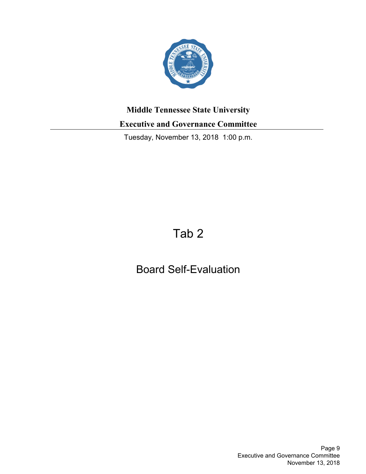

## **Middle Tennessee State University**

### **Executive and Governance Committee**

Tuesday, November 13, 2018 1:00 p.m.

# Tab 2

## Board Self-Evaluation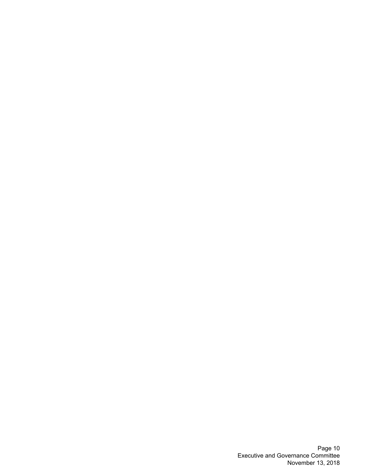Page 10 Executive and Governance Committee November 13, 2018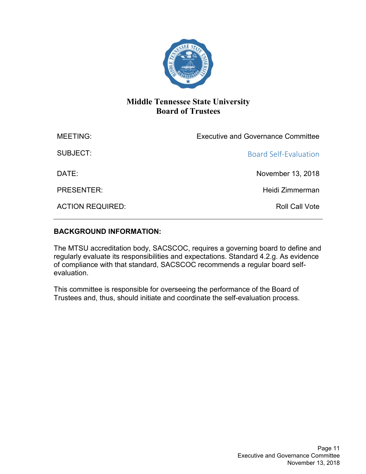

## **Middle Tennessee State University Board of Trustees**

| <b>MEETING:</b>         | <b>Executive and Governance Committee</b> |
|-------------------------|-------------------------------------------|
| SUBJECT:                | <b>Board Self-Evaluation</b>              |
| DATE:                   | November 13, 2018                         |
| <b>PRESENTER:</b>       | Heidi Zimmerman                           |
| <b>ACTION REQUIRED:</b> | <b>Roll Call Vote</b>                     |

#### **BACKGROUND INFORMATION:**

The MTSU accreditation body, SACSCOC, requires a governing board to define and regularly evaluate its responsibilities and expectations. Standard 4.2.g. As evidence of compliance with that standard, SACSCOC recommends a regular board selfevaluation.

This committee is responsible for overseeing the performance of the Board of Trustees and, thus, should initiate and coordinate the self-evaluation process.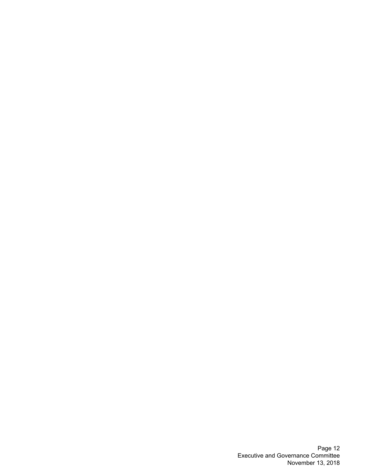Page 12 Executive and Governance Committee November 13, 2018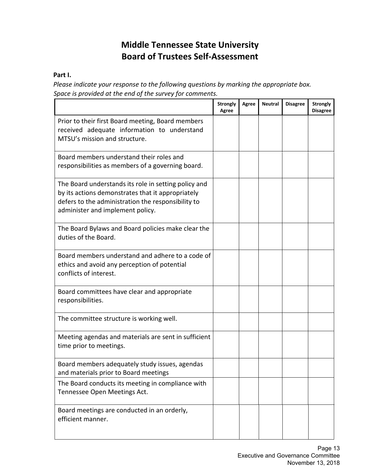## **Middle Tennessee State University Board of Trustees Self-Assessment**

#### **Part I.**

*Please indicate your response to the following questions by marking the appropriate box. Space is provided at the end of the survey for comments.* 

|                                                                                                                                                                                                     | <b>Strongly</b><br>Agree | Agree | <b>Neutral</b> | <b>Disagree</b> | <b>Strongly</b><br><b>Disagree</b> |
|-----------------------------------------------------------------------------------------------------------------------------------------------------------------------------------------------------|--------------------------|-------|----------------|-----------------|------------------------------------|
| Prior to their first Board meeting, Board members<br>received adequate information to understand<br>MTSU's mission and structure.                                                                   |                          |       |                |                 |                                    |
| Board members understand their roles and<br>responsibilities as members of a governing board.                                                                                                       |                          |       |                |                 |                                    |
| The Board understands its role in setting policy and<br>by its actions demonstrates that it appropriately<br>defers to the administration the responsibility to<br>administer and implement policy. |                          |       |                |                 |                                    |
| The Board Bylaws and Board policies make clear the<br>duties of the Board.                                                                                                                          |                          |       |                |                 |                                    |
| Board members understand and adhere to a code of<br>ethics and avoid any perception of potential<br>conflicts of interest.                                                                          |                          |       |                |                 |                                    |
| Board committees have clear and appropriate<br>responsibilities.                                                                                                                                    |                          |       |                |                 |                                    |
| The committee structure is working well.                                                                                                                                                            |                          |       |                |                 |                                    |
| Meeting agendas and materials are sent in sufficient<br>time prior to meetings.                                                                                                                     |                          |       |                |                 |                                    |
| Board members adequately study issues, agendas<br>and materials prior to Board meetings                                                                                                             |                          |       |                |                 |                                    |
| The Board conducts its meeting in compliance with<br>Tennessee Open Meetings Act.                                                                                                                   |                          |       |                |                 |                                    |
| Board meetings are conducted in an orderly,<br>efficient manner.                                                                                                                                    |                          |       |                |                 |                                    |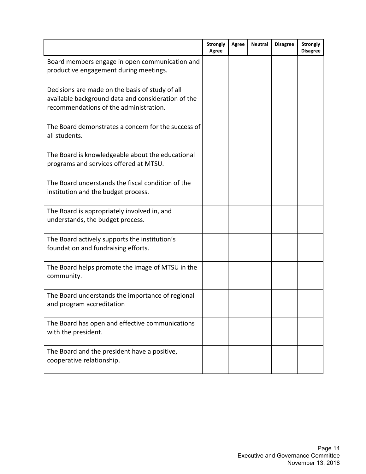|                                                                                                                                                 | <b>Strongly</b><br>Agree | Agree | <b>Neutral</b> | <b>Disagree</b> | <b>Strongly</b><br><b>Disagree</b> |
|-------------------------------------------------------------------------------------------------------------------------------------------------|--------------------------|-------|----------------|-----------------|------------------------------------|
| Board members engage in open communication and<br>productive engagement during meetings.                                                        |                          |       |                |                 |                                    |
| Decisions are made on the basis of study of all<br>available background data and consideration of the<br>recommendations of the administration. |                          |       |                |                 |                                    |
| The Board demonstrates a concern for the success of<br>all students.                                                                            |                          |       |                |                 |                                    |
| The Board is knowledgeable about the educational<br>programs and services offered at MTSU.                                                      |                          |       |                |                 |                                    |
| The Board understands the fiscal condition of the<br>institution and the budget process.                                                        |                          |       |                |                 |                                    |
| The Board is appropriately involved in, and<br>understands, the budget process.                                                                 |                          |       |                |                 |                                    |
| The Board actively supports the institution's<br>foundation and fundraising efforts.                                                            |                          |       |                |                 |                                    |
| The Board helps promote the image of MTSU in the<br>community.                                                                                  |                          |       |                |                 |                                    |
| The Board understands the importance of regional<br>and program accreditation                                                                   |                          |       |                |                 |                                    |
| The Board has open and effective communications<br>with the president.                                                                          |                          |       |                |                 |                                    |
| The Board and the president have a positive,<br>cooperative relationship.                                                                       |                          |       |                |                 |                                    |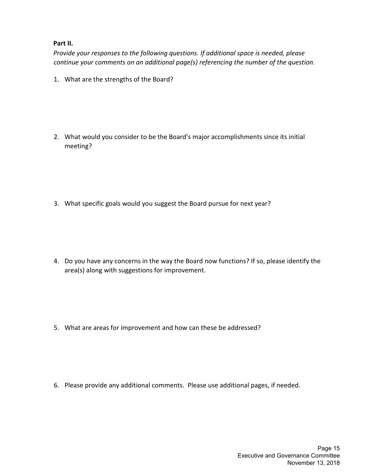#### **Part II.**

*Provide your responses to the following questions. If additional space is needed, please continue your comments on an additional page(s) referencing the number of the question.* 

1. What are the strengths of the Board?

2. What would you consider to be the Board's major accomplishments since its initial meeting?

3. What specific goals would you suggest the Board pursue for next year?

4. Do you have any concerns in the way the Board now functions? If so, please identify the area(s) along with suggestions for improvement.

5. What are areas for improvement and how can these be addressed?

6. Please provide any additional comments. Please use additional pages, if needed.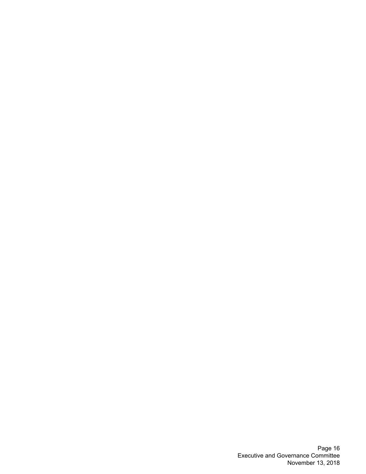Page 16 Executive and Governance Committee November 13, 2018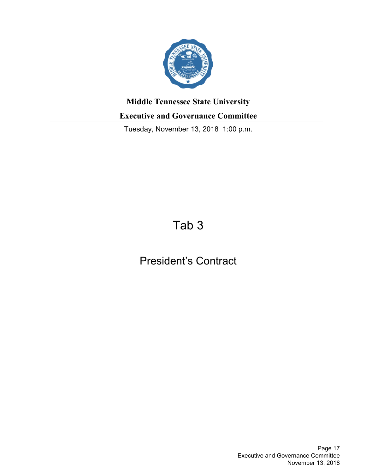

## **Middle Tennessee State University**

### **Executive and Governance Committee**

Tuesday, November 13, 2018 1:00 p.m.

# Tab 3

## President's Contract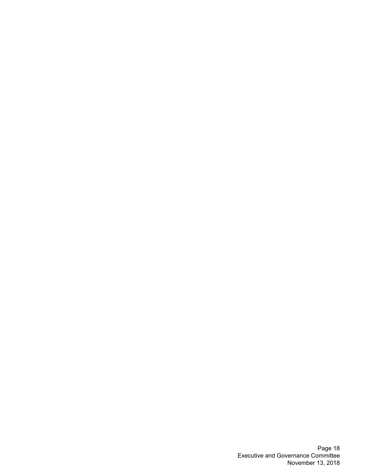Page 18 Executive and Governance Committee November 13, 2018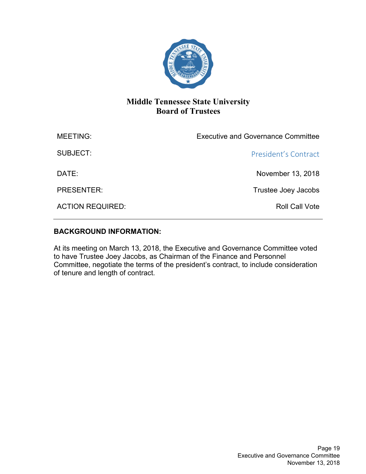

## **Middle Tennessee State University Board of Trustees**

| <b>MEETING:</b>         | <b>Executive and Governance Committee</b> |
|-------------------------|-------------------------------------------|
| SUBJECT:                | President's Contract                      |
| DATE:                   | November 13, 2018                         |
| <b>PRESENTER:</b>       | Trustee Joey Jacobs                       |
| <b>ACTION REQUIRED:</b> | Roll Call Vote                            |

#### **BACKGROUND INFORMATION:**

At its meeting on March 13, 2018, the Executive and Governance Committee voted to have Trustee Joey Jacobs, as Chairman of the Finance and Personnel Committee, negotiate the terms of the president's contract, to include consideration of tenure and length of contract.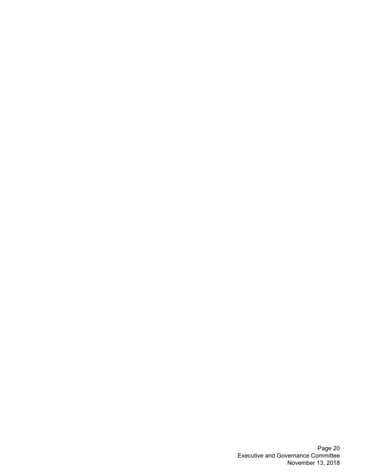Page 20 Executive and Governance Committee November 13, 2018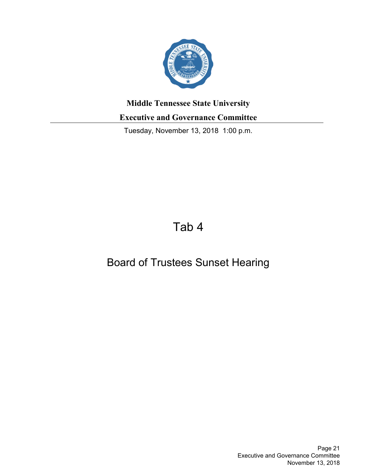

**Middle Tennessee State University**

**Executive and Governance Committee**

Tuesday, November 13, 2018 1:00 p.m.

Tab 4

## Board of Trustees Sunset Hearing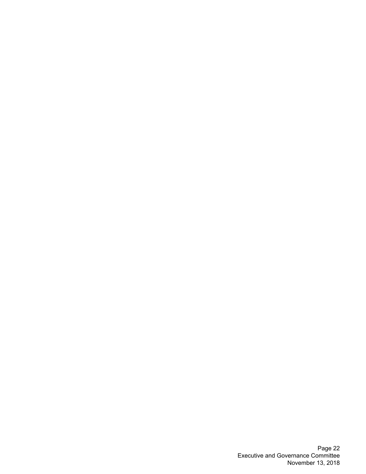Page 22 Executive and Governance Committee November 13, 2018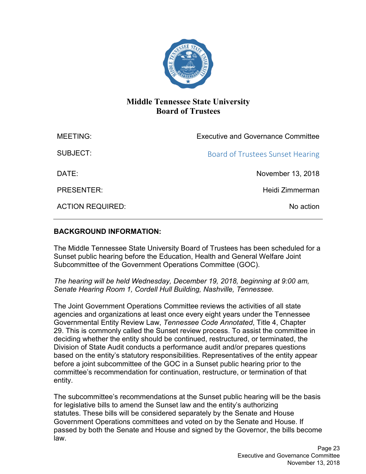

## **Middle Tennessee State University Board of Trustees**

| <b>MEETING:</b>         | <b>Executive and Governance Committee</b> |
|-------------------------|-------------------------------------------|
| SUBJECT:                | <b>Board of Trustees Sunset Hearing</b>   |
| DATE:                   | November 13, 2018                         |
| <b>PRESENTER:</b>       | Heidi Zimmerman                           |
| <b>ACTION REQUIRED:</b> | No action                                 |

#### **BACKGROUND INFORMATION:**

The Middle Tennessee State University Board of Trustees has been scheduled for a Sunset public hearing before the Education, Health and General Welfare Joint Subcommittee of the Government Operations Committee (GOC).

#### *The hearing will be held Wednesday, December 19, 2018, beginning at 9:00 am, Senate Hearing Room 1, Cordell Hull Building, Nashville, Tennessee.*

The Joint Government Operations Committee reviews the activities of all state agencies and organizations at least once every eight years under the Tennessee Governmental Entity Review Law, *Tennessee Code Annotated*, Title 4, Chapter 29. This is commonly called the Sunset review process. To assist the committee in deciding whether the entity should be continued, restructured, or terminated, the Division of State Audit conducts a performance audit and/or prepares questions based on the entity's statutory responsibilities. Representatives of the entity appear before a joint subcommittee of the GOC in a Sunset public hearing prior to the committee's recommendation for continuation, restructure, or termination of that entity.

The subcommittee's recommendations at the Sunset public hearing will be the basis for legislative bills to amend the Sunset law and the entity's authorizing statutes. These bills will be considered separately by the Senate and House Government Operations committees and voted on by the Senate and House. If passed by both the Senate and House and signed by the Governor, the bills become law.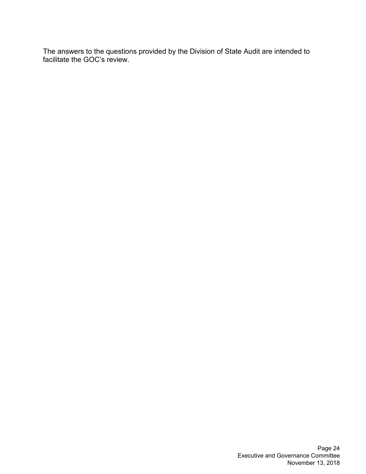The answers to the questions provided by the Division of State Audit are intended to facilitate the GOC's review.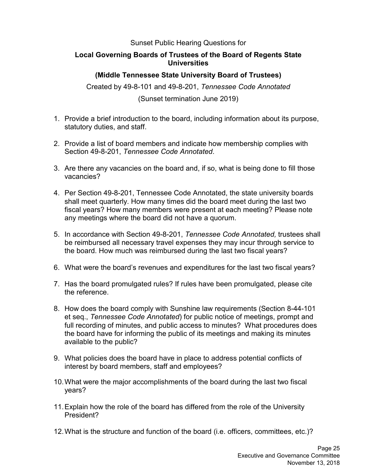#### Sunset Public Hearing Questions for

#### **Local Governing Boards of Trustees of the Board of Regents State Universities**

#### **(Middle Tennessee State University Board of Trustees)**

Created by 49-8-101 and 49-8-201, *Tennessee Code Annotated*

#### (Sunset termination June 2019)

- 1. Provide a brief introduction to the board, including information about its purpose, statutory duties, and staff.
- 2. Provide a list of board members and indicate how membership complies with Section 49-8-201, *Tennessee Code Annotated*.
- 3. Are there any vacancies on the board and, if so, what is being done to fill those vacancies?
- 4. Per Section 49-8-201, Tennessee Code Annotated, the state university boards shall meet quarterly. How many times did the board meet during the last two fiscal years? How many members were present at each meeting? Please note any meetings where the board did not have a quorum.
- 5. In accordance with Section 49-8-201, *Tennessee Code Annotated,* trustees shall be reimbursed all necessary travel expenses they may incur through service to the board. How much was reimbursed during the last two fiscal years?
- 6. What were the board's revenues and expenditures for the last two fiscal years?
- 7. Has the board promulgated rules? If rules have been promulgated, please cite the reference.
- 8. How does the board comply with Sunshine law requirements (Section 8-44-101 et seq., *Tennessee Code Annotated*) for public notice of meetings, prompt and full recording of minutes, and public access to minutes? What procedures does the board have for informing the public of its meetings and making its minutes available to the public?
- 9. What policies does the board have in place to address potential conflicts of interest by board members, staff and employees?
- 10.What were the major accomplishments of the board during the last two fiscal years?
- 11.Explain how the role of the board has differed from the role of the University President?
- 12.What is the structure and function of the board (i.e. officers, committees, etc.)?